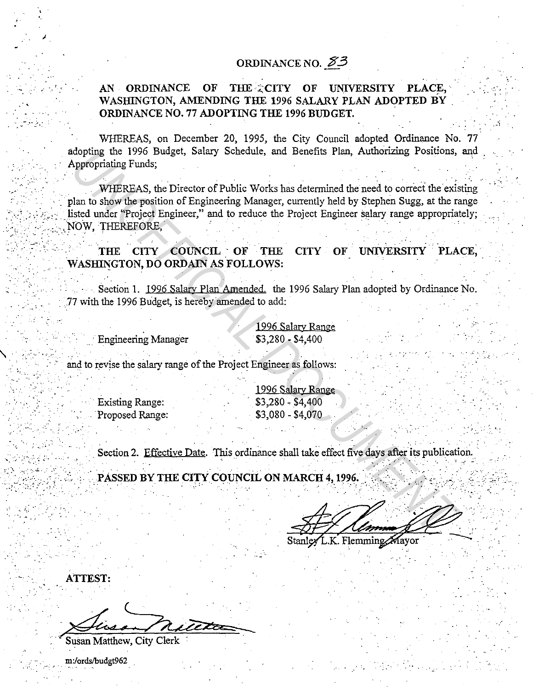## ORDINANCE NO.  $83$

## THE CITY OF UNIVERSITY AN ORDINANCE OF PLACE. WASHINGTON, AMENDING THE 1996 SALARY PLAN ADOPTED BY ORDINANCE NO. 77 ADOPTING THE 1996 BUDGET.

WHEREAS, on December 20, 1995, the City Council adopted Ordinance No. 77 adopting the 1996 Budget, Salary Schedule, and Benefits Plan, Authorizing Positions, and Appropriating Funds:

WHEREAS, the Director of Public Works has determined the need to correct the existing plan to show the position of Engineering Manager, currently held by Stephen Sugg, at the range listed under "Project Engineer," and to reduce the Project Engineer salary range appropriately; NOW. THEREFORE.

THE CITY COUNCIL OF THE CITY OF UNIVERSITY PLACE, WASHINGTON, DO ORDAIN AS FOLLOWS:

Section 1. 1996 Salary Plan Amended. the 1996 Salary Plan adopted by Ordinance No. 77 with the 1996 Budget, is hereby amended to add:

> 1996 Salary Range  $$3,280 - $4,400$

**Engineering Manager** 

and to revise the salary range of the Project Engineer as follows:

**Existing Range:** Proposed Range:

1996 Salary Range  $$3,280 - $4,400$  $$3,080 - $4,070$ 

Section 2. Effective Date. This ordinance shall take effect five days after its publication.

PASSED BY THE CITY COUNCIL ON MARCH 4, 1996.

K. Flemming Mavor

**ATTEST:** 

Susan Matthew, City Clerk

m:/ords/budgt962